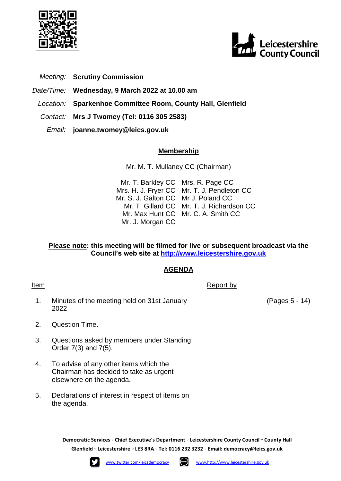



- *Meeting:* **Scrutiny Commission**
- *Date/Time:* **Wednesday, 9 March 2022 at 10.00 am**
- *Location:* **Sparkenhoe Committee Room, County Hall, Glenfield**
- *Contact:* **Mrs J Twomey (Tel: 0116 305 2583)**
	- *Email:* **joanne.twomey@leics.gov.uk**

## **Membership**

Mr. M. T. Mullaney CC (Chairman)

Mr. T. Barkley CC Mrs. H. J. Fryer CC Mr. S. J. Galton CC Mr J. Poland CC Mr. T. Gillard CC Mr. T. J. Richardson CC Mr. Max Hunt CC Mr. C. A. Smith CC Mr. J. Morgan CC Mrs. R. Page CC Mr. T. J. Pendleton CC

## **Please note: this meeting will be filmed for live or subsequent broadcast via the Council's web site at [http://www.leicestershire.gov.uk](http://www.leicestershire.gov.uk/about-the-council/how-the-council-works/public-involvement/watch-council-meetings-online)**

## **AGENDA**

Item Report by The Report by The Report by The Report by The Report by The Report by The Report by The Report by The Report by The Report by The Report by The Report by The Report by The Report by The Report by The Report 1. Minutes of the meeting held on 31st January 2022

- 2. Question Time.
- 3. Questions asked by members under Standing Order 7(3) and 7(5).
- 4. To advise of any other items which the Chairman has decided to take as urgent elsewhere on the agenda.
- 5. Declarations of interest in respect of items on the agenda.

**Democratic Services ◦ Chief Executive's Department ◦ Leicestershire County Council ◦ County Hall Glenfield ◦ Leicestershire ◦ LE3 8RA ◦ Tel: 0116 232 3232 ◦ Email: [democracy@leics.gov.uk](mailto:democracy@leics.gov.uk)**





(Pages 5 - 14)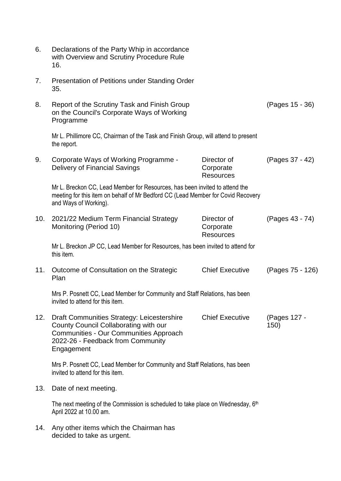| 6.  | Declarations of the Party Whip in accordance<br>with Overview and Scrutiny Procedure Rule<br>16.                                                                                         |                                              |                      |
|-----|------------------------------------------------------------------------------------------------------------------------------------------------------------------------------------------|----------------------------------------------|----------------------|
| 7.  | Presentation of Petitions under Standing Order<br>35.                                                                                                                                    |                                              |                      |
| 8.  | Report of the Scrutiny Task and Finish Group<br>on the Council's Corporate Ways of Working<br>Programme                                                                                  |                                              | (Pages 15 - 36)      |
|     | Mr L. Phillimore CC, Chairman of the Task and Finish Group, will attend to present<br>the report.                                                                                        |                                              |                      |
| 9.  | Corporate Ways of Working Programme -<br>Delivery of Financial Savings                                                                                                                   | Director of<br>Corporate<br><b>Resources</b> | (Pages 37 - 42)      |
|     | Mr L. Breckon CC, Lead Member for Resources, has been invited to attend the<br>meeting for this item on behalf of Mr Bedford CC (Lead Member for Covid Recovery<br>and Ways of Working). |                                              |                      |
| 10. | 2021/22 Medium Term Financial Strategy<br>Monitoring (Period 10)                                                                                                                         | Director of<br>Corporate<br><b>Resources</b> | (Pages 43 - 74)      |
|     | Mr L. Breckon JP CC, Lead Member for Resources, has been invited to attend for<br>this item.                                                                                             |                                              |                      |
| 11. | Outcome of Consultation on the Strategic<br>Plan                                                                                                                                         | <b>Chief Executive</b>                       | (Pages 75 - 126)     |
|     | Mrs P. Posnett CC, Lead Member for Community and Staff Relations, has been<br>invited to attend for this item.                                                                           |                                              |                      |
| 12. | Draft Communities Strategy: Leicestershire<br>County Council Collaborating with our<br>Communities - Our Communities Approach<br>2022-26 - Feedback from Community<br>Engagement         | <b>Chief Executive</b>                       | (Pages 127 -<br>150) |
|     | Mrs P. Posnett CC, Lead Member for Community and Staff Relations, has been<br>invited to attend for this item.                                                                           |                                              |                      |
| 13. | Date of next meeting.                                                                                                                                                                    |                                              |                      |
|     | The next meeting of the Commission is scheduled to take place on Wednesday, $6th$<br>April 2022 at 10.00 am.                                                                             |                                              |                      |
| 14. | Any other items which the Chairman has<br>decided to take as urgent.                                                                                                                     |                                              |                      |